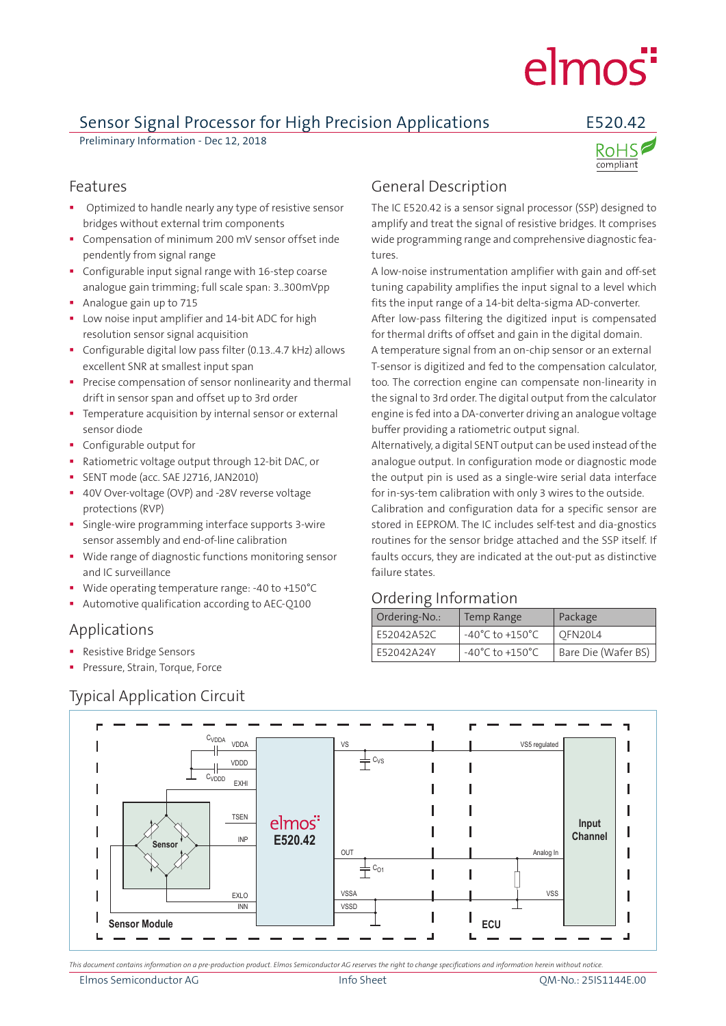# elmos<sup>"</sup>

### Sensor Signal Processor for High Precision Applications E520.42

Preliminary Information - Dec 12, 2018



- Optimized to handle nearly any type of resistive sensor bridges without external trim components
- **Compensation of minimum 200 mV sensor offset inde** pendently from signal range
- Configurable input signal range with 16-step coarse analogue gain trimming; full scale span: 3..300mVpp
- Analogue gain up to 715
- **Low noise input amplifier and 14-bit ADC for high** resolution sensor signal acquisition
- Configurable digital low pass filter (0.13..4.7 kHz) allows excellent SNR at smallest input span
- Precise compensation of sensor nonlinearity and thermal drift in sensor span and offset up to 3rd order
- Temperature acquisition by internal sensor or external sensor diode
- Configurable output for
- Ratiometric voltage output through 12-bit DAC, or
- SENT mode (acc. SAE J2716, JAN2010)
- 40V Over-voltage (OVP) and -28V reverse voltage protections (RVP)
- Single-wire programming interface supports 3-wire sensor assembly and end-of-line calibration
- **Wide range of diagnostic functions monitoring sensor** and IC surveillance
- Wide operating temperature range: -40 to +150°C
- Automotive qualification according to AEC-Q100

#### Applications

- **Resistive Bridge Sensors**
- **Pressure, Strain, Torque, Force**

#### Typical Application Circuit

#### Features **Features General Description**

The IC E520.42 is a sensor signal processor (SSP) designed to amplify and treat the signal of resistive bridges. It comprises wide programming range and comprehensive diagnostic features.

A low-noise instrumentation amplifier with gain and off-set tuning capability amplifies the input signal to a level which fits the input range of a 14-bit delta-sigma AD-converter. After low-pass filtering the digitized input is compensated for thermal drifts of offset and gain in the digital domain.

A temperature signal from an on-chip sensor or an external T-sensor is digitized and fed to the compensation calculator, too. The correction engine can compensate non-linearity in the signal to 3rd order. The digital output from the calculator engine is fed into a DA-converter driving an analogue voltage buffer providing a ratiometric output signal.

Alternatively, a digital SENT output can be used instead of the analogue output. In configuration mode or diagnostic mode the output pin is used as a single-wire serial data interface for in-sys-tem calibration with only 3 wires to the outside.

Calibration and configuration data for a specific sensor are stored in EEPROM. The IC includes self-test and dia-gnostics routines for the sensor bridge attached and the SSP itself. If faults occurs, they are indicated at the out-put as distinctive failure states.

#### Ordering Information

| Ordering-No.: | <b>Temp Range</b>                   | Package             |
|---------------|-------------------------------------|---------------------|
| F52042A52C    | $-40^{\circ}$ C to $+150^{\circ}$ C | OFN20L4             |
| E52042A24Y    | $-40^{\circ}$ C to $+150^{\circ}$ C | Bare Die (Wafer BS) |



*This document contains information on a pre-production product. Elmos Semiconductor AG reserves the right to change specifications and information herein without notice.*